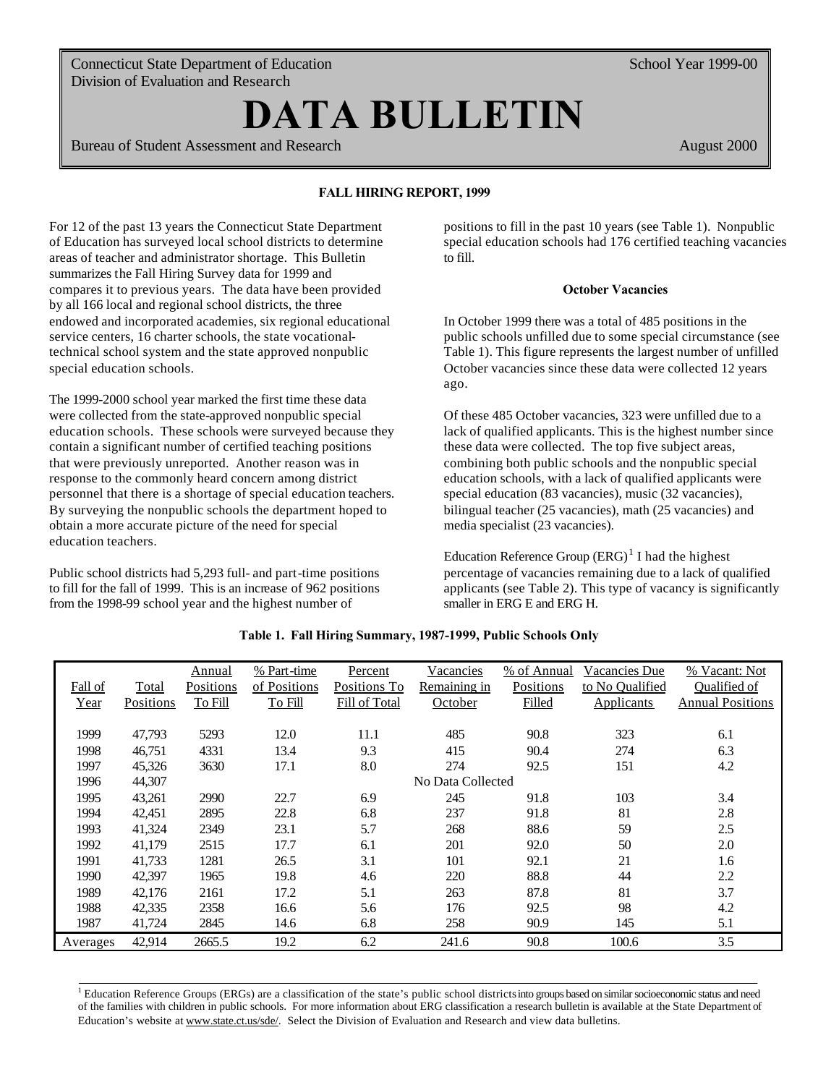Connecticut State Department of Education Division of Evaluation and Research

# **DATA BULLETIN**

**FALL HIRING REPORT, 2000**  Bureau of Student Assessment and Research

August 2000

School Year 1999-00

# **FALL HIRING REPORT, 1999**

For 12 of the past 13 years the Connecticut State Department of Education has surveyed local school districts to determine areas of teacher and administrator shortage. This Bulletin summarizes the Fall Hiring Survey data for 1999 and compares it to previous years. The data have been provided by all 166 local and regional school districts, the three endowed and incorporated academies, six regional educational service centers, 16 charter schools, the state vocationaltechnical school system and the state approved nonpublic special education schools.

The 1999-2000 school year marked the first time these data were collected from the state-approved nonpublic special education schools. These schools were surveyed because they contain a significant number of certified teaching positions that were previously unreported. Another reason was in response to the commonly heard concern among district personnel that there is a shortage of special education teachers. By surveying the nonpublic schools the department hoped to obtain a more accurate picture of the need for special education teachers.

Public school districts had 5,293 full- and part-time positions to fill for the fall of 1999. This is an increase of 962 positions from the 1998-99 school year and the highest number of

positions to fill in the past 10 years (see Table 1). Nonpublic special education schools had 176 certified teaching vacancies to fill.

## **October Vacancies**

In October 1999 there was a total of 485 positions in the public schools unfilled due to some special circumstance (see Table 1). This figure represents the largest number of unfilled October vacancies since these data were collected 12 years ago.

Of these 485 October vacancies, 323 were unfilled due to a lack of qualified applicants. This is the highest number since these data were collected. The top five subject areas, combining both public schools and the nonpublic special education schools, with a lack of qualified applicants were special education (83 vacancies), music (32 vacancies), bilingual teacher (25 vacancies), math (25 vacancies) and media specialist (23 vacancies).

Education Reference Group  $(ERG)^{1}$  I had the highest percentage of vacancies remaining due to a lack of qualified applicants (see Table 2). This type of vacancy is significantly smaller in ERG E and ERG H.

|          |           | Annual    | % Part-time       | <b>Percent</b> | Vacancies    | % of Annual | Vacancies Due     | % Vacant: Not           |  |  |  |
|----------|-----------|-----------|-------------------|----------------|--------------|-------------|-------------------|-------------------------|--|--|--|
| Fall of  | Total     | Positions | of Positions      | Positions To   | Remaining in | Positions   | to No Qualified   | Qualified of            |  |  |  |
| Year     | Positions | To Fill   | To Fill           | Fill of Total  | October      | Filled      | <b>Applicants</b> | <b>Annual Positions</b> |  |  |  |
|          |           |           |                   |                |              |             |                   |                         |  |  |  |
| 1999     | 47,793    | 5293      | 12.0              | 11.1           | 485          | 90.8        | 323               | 6.1                     |  |  |  |
| 1998     | 46,751    | 4331      | 13.4              | 9.3            | 415          | 90.4        | 274               | 6.3                     |  |  |  |
| 1997     | 45,326    | 3630      | 17.1              | 8.0            | 274          | 92.5        | 151               | 4.2                     |  |  |  |
| 1996     | 44,307    |           | No Data Collected |                |              |             |                   |                         |  |  |  |
| 1995     | 43,261    | 2990      | 22.7              | 6.9            | 245          | 91.8        | 103               | 3.4                     |  |  |  |
| 1994     | 42,451    | 2895      | 22.8              | 6.8            | 237          | 91.8        | 81                | 2.8                     |  |  |  |
| 1993     | 41,324    | 2349      | 23.1              | 5.7            | 268          | 88.6        | 59                | 2.5                     |  |  |  |
| 1992     | 41,179    | 2515      | 17.7              | 6.1            | 201          | 92.0        | 50                | 2.0                     |  |  |  |
| 1991     | 41,733    | 1281      | 26.5              | 3.1            | 101          | 92.1        | 21                | 1.6                     |  |  |  |
| 1990     | 42,397    | 1965      | 19.8              | 4.6            | 220          | 88.8        | 44                | 2.2                     |  |  |  |
| 1989     | 42,176    | 2161      | 17.2              | 5.1            | 263          | 87.8        | 81                | 3.7                     |  |  |  |
| 1988     | 42,335    | 2358      | 16.6              | 5.6            | 176          | 92.5        | 98                | 4.2                     |  |  |  |
| 1987     | 41,724    | 2845      | 14.6              | 6.8            | 258          | 90.9        | 145               | 5.1                     |  |  |  |
| Averages | 42,914    | 2665.5    | 19.2              | 6.2            | 241.6        | 90.8        | 100.6             | 3.5                     |  |  |  |

## **Table 1. Fall Hiring Summary, 1987-1999, Public Schools Only**

 $1$  Education Reference Groups (ERGs) are a classification of the state's public school districts into groups based on similar socioeconomic status and need of the families with children in public schools. For more information about ERG classification a research bulletin is available at the State Department of Education's website at www.state.ct.us/sde/. Select the Division of Evaluation and Research and view data bulletins.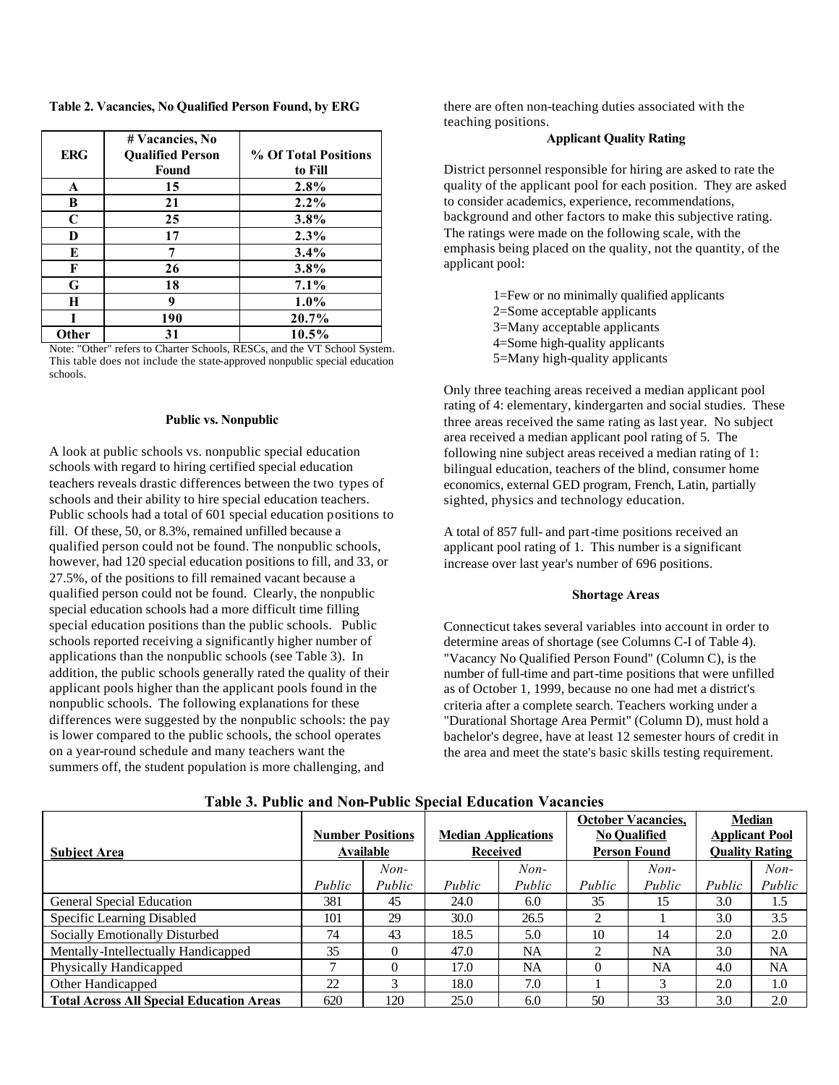**Table 2. Vacancies, No Qualified Person Found, by ERG** 

| <b>ERG</b>   | # Vacancies, No<br><b>Qualified Person</b><br>Found | % Of Total Positions<br>to Fill |
|--------------|-----------------------------------------------------|---------------------------------|
| A            | 15                                                  | 2.8%                            |
| B            | 21                                                  | $2.2\%$                         |
| $\mathbf C$  | 25                                                  | 3.8%                            |
| D            | 17                                                  | 2.3%                            |
| E            | 7                                                   | 3.4%                            |
| F            | 26                                                  | 3.8%                            |
| G            | 18                                                  | $7.1\%$                         |
| Н            | 9                                                   | $1.0\%$                         |
|              | 190                                                 | 20.7%                           |
| <b>Other</b> | 31                                                  | 10.5%                           |

Note: "Other" refers to Charter Schools, RESCs, and the VT School System. This table does not include the state-approved nonpublic special education schools.

#### **Public vs. Nonpublic**

A look at public schools vs. nonpublic special education schools with regard to hiring certified special education teachers reveals drastic differences between the two types of schools and their ability to hire special education teachers. Public schools had a total of 601 special education positions to fill. Of these, 50, or 8.3%, remained unfilled because a qualified person could not be found. The nonpublic schools, however, had 120 special education positions to fill, and 33, or 27.5%, of the positions to fill remained vacant because a qualified person could not be found. Clearly, the nonpublic special education schools had a more difficult time filling special education positions than the public schools. Public schools reported receiving a significantly higher number of applications than the nonpublic schools (see Table 3). In addition, the public schools generally rated the quality of their applicant pools higher than the applicant pools found in the nonpublic schools. The following explanations for these differences were suggested by the nonpublic schools: the pay is lower compared to the public schools, the school operates on a year-round schedule and many teachers want the summers off, the student population is more challenging, and

there are often non-teaching duties associated with the teaching positions.

## **Applicant Quality Rating**

District personnel responsible for hiring are asked to rate the quality of the applicant pool for each position. They are asked to consider academics, experience, recommendations, background and other factors to make this subjective rating. The ratings were made on the following scale, with the emphasis being placed on the quality, not the quantity, of the applicant pool:

> 1=Few or no minimally qualified applicants 2=Some acceptable applicants 3=Many acceptable applicants 4=Some high-quality applicants 5=Many high-quality applicants

Only three teaching areas received a median applicant pool rating of 4: elementary, kindergarten and social studies. These three areas received the same rating as last year. No subject area received a median applicant pool rating of 5. The following nine subject areas received a median rating of 1: bilingual education, teachers of the blind, consumer home economics, external GED program, French, Latin, partially sighted, physics and technology education.

A total of 857 full- and part-time positions received an applicant pool rating of 1. This number is a significant increase over last year's number of 696 positions.

#### **Shortage Areas**

Connecticut takes several variables into account in order to determine areas of shortage (see Columns C-I of Table 4). "Vacancy No Qualified Person Found" (Column C), is the number of full-time and part-time positions that were unfilled as of October 1, 1999, because no one had met a district's criteria after a complete search. Teachers working under a "Durational Shortage Area Permit" (Column D), must hold a bachelor's degree, have at least 12 semester hours of credit in the area and meet the state's basic skills testing requirement.

|                                                 |                         |          |                            |           | <b>October Vacancies.</b><br><b>No Oualified</b> |        | <b>Median</b><br><b>Applicant Pool</b> |        |
|-------------------------------------------------|-------------------------|----------|----------------------------|-----------|--------------------------------------------------|--------|----------------------------------------|--------|
|                                                 | <b>Number Positions</b> |          | <b>Median Applications</b> |           |                                                  |        |                                        |        |
| <b>Subject Area</b>                             | <b>Available</b>        |          | <b>Received</b>            |           | <b>Person Found</b>                              |        | <b>Quality Rating</b>                  |        |
|                                                 |                         | $Non-$   |                            | $Non-$    |                                                  | $Non-$ |                                        | $Non-$ |
|                                                 | Public                  | Public   | Public                     | Public    | Public                                           | Public | Public                                 | Public |
| <b>General Special Education</b>                | 381                     | 45       | 24.0                       | 6.0       | 35                                               | 15     | 3.0                                    | 1.5    |
| Specific Learning Disabled                      | 101                     | 29       | 30.0                       | 26.5      | 2                                                |        | 3.0                                    | 3.5    |
| Socially Emotionally Disturbed                  | 74                      | 43       | 18.5                       | 5.0       | 10                                               | 14     | 2.0                                    | 2.0    |
| Mentally-Intellectually Handicapped             | 35                      | $\Omega$ | 47.0                       | <b>NA</b> | $\mathfrak{D}$                                   | NA     | 3.0                                    | NA     |
| Physically Handicapped                          | ⇁                       | $\Omega$ | 17.0                       | <b>NA</b> | $\Omega$                                         | NA     | 4.0                                    | NA     |
| Other Handicapped                               | 22                      | 3        | 18.0                       | 7.0       |                                                  | 3      | 2.0                                    | 1.0    |
| <b>Total Across All Special Education Areas</b> | 620                     | 120      | 25.0                       | 6.0       | 50                                               | 33     | 3.0                                    | 2.0    |

#### **Table 3. Public and Non-Public Special Education Vacancies**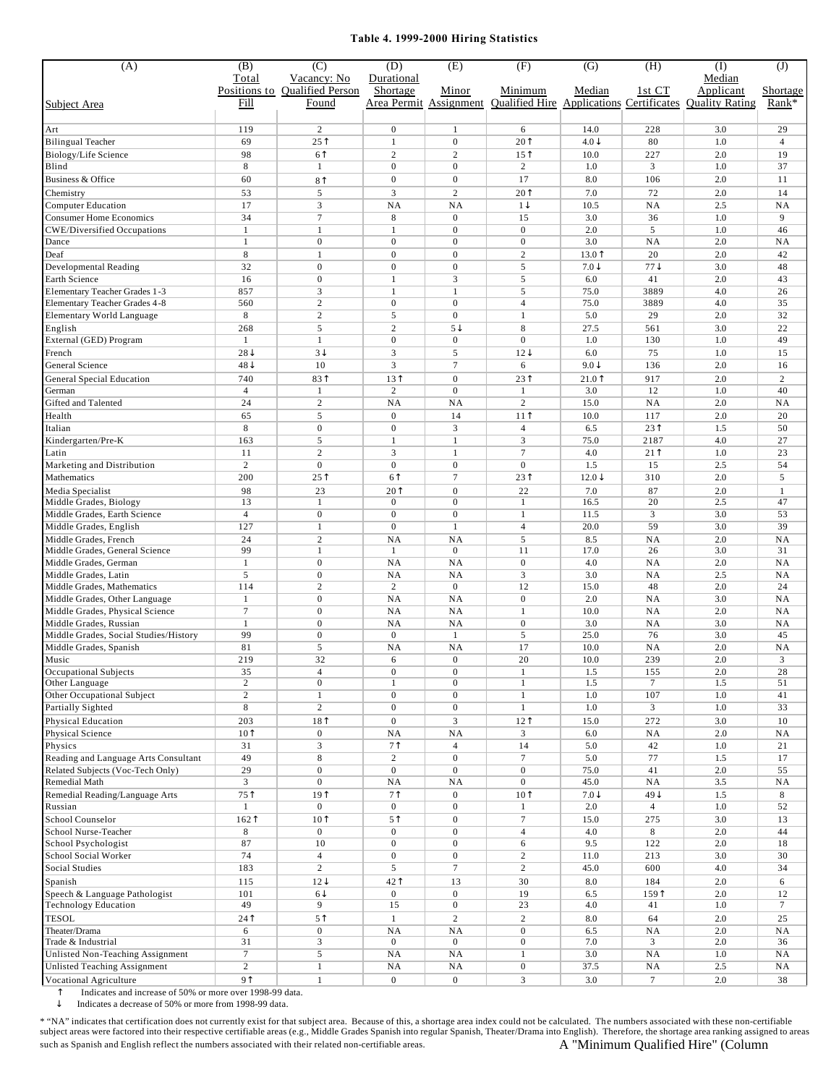## **Table 4. 1999-2000 Hiring Statistics**

| (A)                                                                  | (B)<br>Total                          | $\overline{C}$<br>Vacancy: No          | (D)<br>Durational                  | (E)                                  | (F)                                                        | $\overline{G}$                       | (H)                                         | $\overline{(\mathrm{I})}$<br>Median | $\overline{J}$       |
|----------------------------------------------------------------------|---------------------------------------|----------------------------------------|------------------------------------|--------------------------------------|------------------------------------------------------------|--------------------------------------|---------------------------------------------|-------------------------------------|----------------------|
| Subject Area                                                         | Fill                                  | Positions to Qualified Person<br>Found | Shortage                           | Minor<br>Area Permit Assignment      | Minimum<br><b>Qualified Hire Applications Certificates</b> | Median                               | 1st CT                                      | Applicant<br><b>Ouality Rating</b>  | Shortage<br>Rank*    |
|                                                                      |                                       |                                        |                                    |                                      |                                                            |                                      |                                             |                                     |                      |
| Art<br><b>Bilingual Teacher</b>                                      | 119<br>69                             | $\overline{2}$<br>25 <sup>†</sup>      | $\boldsymbol{0}$<br>$\mathbf{1}$   | 1<br>$\boldsymbol{0}$                | 6<br>20 <sup>†</sup>                                       | 14.0<br>$4.0\sqrt$                   | 228<br>80                                   | 3.0<br>1.0                          | 29<br>$\overline{4}$ |
| Biology/Life Science                                                 | 98                                    | 6 <sup>1</sup>                         | $\sqrt{2}$                         | $\overline{c}$                       | 15 <sup>†</sup>                                            | 10.0                                 | 227                                         | 2.0                                 | 19                   |
| Blind                                                                | 8                                     | $\mathbf{1}$                           | $\mathbf{0}$                       | $\mathbf{0}$                         | $\overline{c}$                                             | 1.0                                  | 3                                           | 1.0                                 | 37                   |
| Business & Office                                                    | 60                                    | 8 <sup>†</sup>                         | $\boldsymbol{0}$                   | $\boldsymbol{0}$                     | 17                                                         | 8.0                                  | 106                                         | 2.0                                 | 11                   |
| Chemistry                                                            | 53                                    | 5                                      | 3                                  | $\overline{c}$                       | 20 <sup>†</sup>                                            | 7.0                                  | 72                                          | 2.0                                 | 14                   |
| <b>Computer Education</b>                                            | 17                                    | 3<br>$\overline{7}$                    | NA                                 | NA                                   | $1\sqrt{ }$                                                | 10.5                                 | NA                                          | 2.5                                 | NA                   |
| <b>Consumer Home Economics</b><br><b>CWE/Diversified Occupations</b> | 34<br>$\mathbf{1}$                    | $\mathbf{1}$                           | $\,8\,$<br>$\mathbf{1}$            | $\mathbf{0}$<br>$\overline{0}$       | 15<br>$\overline{0}$                                       | 3.0<br>2.0                           | 36<br>5                                     | 1.0<br>1.0                          | 9<br>46              |
| Dance                                                                | $\mathbf{1}$                          | $\mathbf{0}$                           | $\mathbf{0}$                       | $\boldsymbol{0}$                     | $\overline{0}$                                             | 3.0                                  | NA                                          | 2.0                                 | NA                   |
| Deaf                                                                 | 8                                     | $\mathbf{1}$                           | $\mathbf{0}$                       | $\overline{0}$                       | $\overline{2}$                                             | 13.0T                                | 20                                          | 2.0                                 | 42                   |
| Developmental Reading                                                | 32                                    | $\mathbf{0}$                           | $\mathbf{0}$                       | $\mathbf{0}$                         | 5                                                          | $7.0\downarrow$                      | $77\downarrow$                              | 3.0                                 | 48                   |
| Earth Science                                                        | 16                                    | $\mathbf{0}$                           | $\mathbf{1}$                       | 3                                    | 5                                                          | 6.0                                  | 41                                          | 2.0                                 | 43                   |
| Elementary Teacher Grades 1-3<br>Elementary Teacher Grades 4-8       | 857<br>560                            | 3<br>$\overline{c}$                    | $\mathbf{1}$<br>$\boldsymbol{0}$   | $\mathbf{1}$<br>$\boldsymbol{0}$     | 5<br>$\overline{4}$                                        | 75.0<br>75.0                         | 3889<br>3889                                | 4.0<br>4.0                          | 26<br>35             |
| Elementary World Language                                            | 8                                     | $\overline{c}$                         | 5                                  | $\boldsymbol{0}$                     | $\overline{1}$                                             | 5.0                                  | 29                                          | 2.0                                 | 32                   |
| English                                                              | 268                                   | 5                                      | $\overline{c}$                     | $5\downarrow$                        | 8                                                          | 27.5                                 | 561                                         | 3.0                                 | 22                   |
| External (GED) Program                                               | 1                                     | 1                                      | $\mathbf{0}$                       | $\mathbf{0}$                         | $\overline{0}$                                             | 1.0                                  | 130                                         | 1.0                                 | 49                   |
| French                                                               | $28\downarrow$                        | $3\downarrow$                          | 3                                  | 5                                    | $12\sqrt{ }$                                               | 6.0                                  | 75                                          | 1.0                                 | 15                   |
| General Science                                                      | $48\sqrt{ }$                          | 10<br>831                              | 3<br>131                           | $\tau$                               | 6<br>231                                                   | $9.0\downarrow$<br>21.0 <sup>†</sup> | 136                                         | 2.0                                 | 16                   |
| <b>General Special Education</b><br>German                           | 740<br>$\overline{4}$                 | $\mathbf{1}$                           | $\mathbf{2}$                       | $\boldsymbol{0}$<br>$\overline{0}$   | $\mathbf{1}$                                               | 3.0                                  | 917<br>12                                   | 2.0<br>1.0                          | $\overline{c}$<br>40 |
| Gifted and Talented                                                  | 24                                    | $\overline{c}$                         | N <sub>A</sub>                     | <b>NA</b>                            | 2                                                          | 15.0                                 | NA                                          | 2.0                                 | NA                   |
| Health                                                               | 65                                    | 5                                      | $\boldsymbol{0}$                   | 14                                   | $11$ <sup><math>\uparrow</math></sup>                      | 10.0                                 | 117                                         | 2.0                                 | 20                   |
| Italian                                                              | 8                                     | $\boldsymbol{0}$                       | $\boldsymbol{0}$                   | 3                                    | $\overline{4}$                                             | 6.5                                  | 23 <sup>†</sup>                             | 1.5                                 | 50                   |
| Kindergarten/Pre-K                                                   | 163                                   | 5                                      | 1                                  | 1                                    | 3                                                          | 75.0                                 | 2187                                        | 4.0                                 | 27                   |
| Latin<br>Marketing and Distribution                                  | 11<br>$\overline{c}$                  | $\overline{c}$<br>$\boldsymbol{0}$     | 3<br>$\boldsymbol{0}$              | $\mathbf{1}$<br>$\boldsymbol{0}$     | $\tau$<br>$\mathbf{0}$                                     | 4.0<br>1.5                           | $21$ <sup><math>\uparrow</math></sup><br>15 | 1.0<br>2.5                          | 23<br>54             |
| Mathematics                                                          | 200                                   | 25 <sup>†</sup>                        | 6 <sup>1</sup>                     | $\tau$                               | 231                                                        | $12.0\text{ }$                       | 310                                         | 2.0                                 | 5                    |
| Media Specialist                                                     | 98                                    | 23                                     | 20 <sup>†</sup>                    | $\boldsymbol{0}$                     | 22                                                         | 7.0                                  | 87                                          | 2.0                                 | $\mathbf{1}$         |
| Middle Grades, Biology                                               | 13                                    | $\mathbf{1}$                           | $\boldsymbol{0}$                   | $\boldsymbol{0}$                     | $\mathbf{1}$                                               | 16.5                                 | 20                                          | 2.5                                 | 47                   |
| Middle Grades, Earth Science                                         | $\overline{4}$                        | $\boldsymbol{0}$                       | $\boldsymbol{0}$                   | $\boldsymbol{0}$                     | 1                                                          | 11.5                                 | 3                                           | 3.0                                 | 53                   |
| Middle Grades, English<br>Middle Grades, French                      | 127<br>24                             | 1<br>$\overline{c}$                    | $\mathbf{0}$<br>NA                 | $\mathbf{1}$<br><b>NA</b>            | $\overline{4}$<br>5                                        | 20.0<br>8.5                          | 59<br>NA                                    | 3.0<br>2.0                          | 39<br>NA             |
| Middle Grades, General Science                                       | 99                                    | 1                                      | 1                                  | $\mathbf{0}$                         | 11                                                         | 17.0                                 | 26                                          | 3.0                                 | 31                   |
| Middle Grades, German                                                | $\mathbf{1}$                          | $\mathbf{0}$                           | NA                                 | <b>NA</b>                            | $\mathbf{0}$                                               | 4.0                                  | NA                                          | 2.0                                 | NA                   |
| Middle Grades, Latin                                                 | 5                                     | $\mathbf{0}$                           | NA                                 | NA                                   | 3                                                          | 3.0                                  | NA                                          | 2.5                                 | NA                   |
| Middle Grades, Mathematics                                           | 114                                   | $\overline{c}$                         | $\mathbf{2}$                       | $\boldsymbol{0}$                     | 12                                                         | 15.0                                 | 48                                          | 2.0                                 | 24                   |
| Middle Grades, Other Language<br>Middle Grades, Physical Science     | $\mathbf{1}$<br>$\tau$                | $\boldsymbol{0}$<br>$\mathbf{0}$       | NA<br>NA                           | NA<br>NA                             | $\boldsymbol{0}$<br>$\mathbf{1}$                           | 2.0<br>10.0                          | NA<br>NA                                    | 3.0<br>2.0                          | NA<br>NA             |
| Middle Grades, Russian                                               | $\mathbf{1}$                          | $\boldsymbol{0}$                       | NA                                 | NA                                   | $\boldsymbol{0}$                                           | 3.0                                  | NA                                          | 3.0                                 | <b>NA</b>            |
| Middle Grades, Social Studies/History                                | 99                                    | $\mathbf{0}$                           | $\mathbf{0}$                       | $\mathbf{1}$                         | 5                                                          | 25.0                                 | 76                                          | 3.0                                 | 45                   |
| Middle Grades, Spanish                                               | 81                                    | 5                                      | <b>NA</b>                          | <b>NA</b>                            | 17                                                         | 10.0                                 | NA                                          | 2.0                                 | <b>NA</b>            |
| Music                                                                | 219                                   | 32                                     | 6                                  | $\mathbf{0}$                         | 20                                                         | 10.0                                 | 239                                         | 2.0                                 | 3                    |
| Occupational Subjects<br>Other Language                              | 35<br>$\,2$                           | 4<br>$\boldsymbol{0}$                  | $\boldsymbol{0}$<br>$\mathbf{1}$   | $\boldsymbol{0}$<br>$\boldsymbol{0}$ | 1<br>$\mathbf{1}$                                          | 1.5<br>1.5                           | 155<br>7                                    | 2.0<br>1.5                          | 28<br>51             |
| Other Occupational Subject                                           | $\overline{c}$                        | $\mathbf{1}$                           | $\boldsymbol{0}$                   | $\boldsymbol{0}$                     | $\mathbf{1}$                                               | 1.0                                  | 107                                         | 1.0                                 | 41                   |
| Partially Sighted                                                    | $\,$ 8 $\,$                           | $\overline{2}$                         | $\boldsymbol{0}$                   | $\mathbf{0}$                         | $\mathbf{1}$                                               | 1.0                                  | 3                                           | $1.0\,$                             | 33                   |
| Physical Education                                                   | 203                                   | 18 <sup>†</sup>                        | $\boldsymbol{0}$                   | $\mathfrak{Z}$                       | 12 <sup>†</sup>                                            | 15.0                                 | 272                                         | 3.0                                 | 10                   |
| Physical Science<br>Physics                                          | 10 <sup>†</sup><br>31                 | $\mathbf{0}$<br>3                      | NA<br>7 <sup>1</sup>               | NA<br>$\overline{4}$                 | $\mathfrak{Z}$<br>14                                       | 6.0<br>5.0                           | NA                                          | 2.0<br>1.0                          | NA<br>21             |
| Reading and Language Arts Consultant                                 | 49                                    | 8                                      | $\overline{2}$                     | $\mathbf{0}$                         | $\tau$                                                     | 5.0                                  | 42<br>77                                    | 1.5                                 | 17                   |
| Related Subjects (Voc-Tech Only)                                     | 29                                    | $\mathbf{0}$                           | $\boldsymbol{0}$                   | $\boldsymbol{0}$                     | $\boldsymbol{0}$                                           | 75.0                                 | 41                                          | 2.0                                 | 55                   |
| Remedial Math                                                        | 3                                     | $\boldsymbol{0}$                       | NA                                 | NA                                   | $\mathbf{0}$                                               | 45.0                                 | NA                                          | 3.5                                 | NA                   |
| Remedial Reading/Language Arts                                       | $75$ <sup><math>\uparrow</math></sup> | 19 <sup>†</sup>                        | 7 <sup>1</sup>                     | $\boldsymbol{0}$                     | 10 <sup>†</sup>                                            | $7.0\text{J}$                        | $49\downarrow$                              | 1.5                                 | 8                    |
| Russian                                                              | $\mathbf{1}$                          | $\boldsymbol{0}$                       | $\boldsymbol{0}$                   | $\boldsymbol{0}$                     | $\mathbf{1}$                                               | 2.0                                  | $\overline{4}$                              | 1.0                                 | 52                   |
| School Counselor<br>School Nurse-Teacher                             | 162<br>8                              | 10 <sup>†</sup><br>$\mathbf{0}$        | 5 <sup>1</sup><br>$\boldsymbol{0}$ | $\boldsymbol{0}$<br>$\boldsymbol{0}$ | $\tau$<br>$\overline{4}$                                   | 15.0<br>4.0                          | 275<br>8                                    | $3.0\,$<br>2.0                      | 13<br>44             |
| School Psychologist                                                  | 87                                    | 10                                     | $\boldsymbol{0}$                   | $\boldsymbol{0}$                     | 6                                                          | 9.5                                  | 122                                         | 2.0                                 | 18                   |
| School Social Worker                                                 | 74                                    | $\overline{4}$                         | $\boldsymbol{0}$                   | $\mathbf{0}$                         | $\overline{c}$                                             | 11.0                                 | 213                                         | 3.0                                 | 30                   |
| Social Studies                                                       | 183                                   | $\overline{c}$                         | 5                                  | $\tau$                               | $\overline{2}$                                             | 45.0                                 | 600                                         | 4.0                                 | 34                   |
| Spanish                                                              | 115                                   | $12\sqrt{ }$                           | 421                                | 13                                   | 30                                                         | $8.0\,$                              | 184                                         | 2.0                                 | 6                    |
| Speech & Language Pathologist<br><b>Technology Education</b>         | 101<br>49                             | $6\downarrow$<br>9                     | $\boldsymbol{0}$<br>15             | $\boldsymbol{0}$<br>$\boldsymbol{0}$ | 19<br>23                                                   | 6.5<br>4.0                           | 159<br>41                                   | 2.0<br>1.0                          | 12<br>7              |
| <b>TESOL</b>                                                         | 24                                    | 5 <sup>†</sup>                         | $\mathbf{1}$                       | $\sqrt{2}$                           | $\overline{c}$                                             | 8.0                                  | 64                                          | 2.0                                 | 25                   |
| Theater/Drama                                                        | 6                                     | $\mathbf{0}$                           | NA                                 | NA                                   | $\boldsymbol{0}$                                           | 6.5                                  | NA                                          | 2.0                                 | NA                   |
| Trade & Industrial                                                   | 31                                    | 3                                      | $\boldsymbol{0}$                   | $\boldsymbol{0}$                     | $\bf{0}$                                                   | 7.0                                  | 3                                           | 2.0                                 | 36                   |
| Unlisted Non-Teaching Assignment                                     | $\tau$                                | 5                                      | NA                                 | NA                                   | $\mathbf{1}$                                               | 3.0                                  | NA                                          | 1.0                                 | NA                   |
| <b>Unlisted Teaching Assignment</b>                                  | $\overline{c}$<br>9 <sup>1</sup>      | $\mathbf{1}$                           | NA                                 | NA                                   | $\boldsymbol{0}$                                           | 37.5                                 | NA                                          | 2.5                                 | NA                   |
| Vocational Agriculture                                               |                                       | $1\,$                                  | $\boldsymbol{0}$                   | $\boldsymbol{0}$                     | $\overline{3}$                                             | 3.0                                  | $\tau$                                      | 2.0                                 | 38                   |

 $\uparrow$  Indicates and increase of 50% or more over 1998-99 data.<br>
Indicates a decrease of 50% or more from 1998-99 data.

Indicates a decrease of 50% or more from 1998-99 data.

\* "NA" indicates that certification does not currently exist for that subject area. Because of this, a shortage area index could not be calculated. The numbers associated with these non-certifiable<br>subject areas were facto such as Spanish and English reflect the numbers associated with their related non-certifiable areas.  $\hbox{A "Minimum Qualified Hire" (Column}$